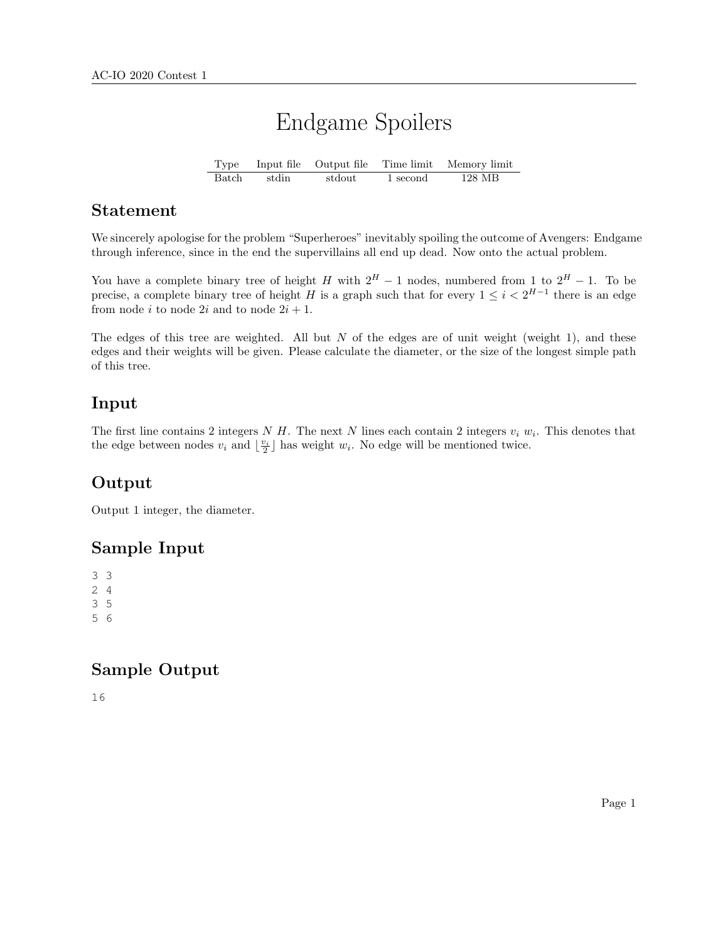# Endgame Spoilers

Type Input file Output file Time limit Memory limit Batch stdin stdout 1 second 128 MB

#### Statement

We sincerely apologise for the problem "Superheroes" inevitably spoiling the outcome of Avengers: Endgame through inference, since in the end the supervillains all end up dead. Now onto the actual problem.

You have a complete binary tree of height H with  $2^H - 1$  nodes, numbered from 1 to  $2^H - 1$ . To be precise, a complete binary tree of height H is a graph such that for every  $1 \leq i < 2^{H-1}$  there is an edge from node i to node 2i and to node  $2i + 1$ .

The edges of this tree are weighted. All but  $N$  of the edges are of unit weight (weight 1), and these edges and their weights will be given. Please calculate the diameter, or the size of the longest simple path of this tree.

## Input

The first line contains 2 integers N H. The next N lines each contain 2 integers  $v_i w_i$ . This denotes that the edge between nodes  $v_i$  and  $\lfloor \frac{v_i}{2} \rfloor$  has weight  $w_i$ . No edge will be mentioned twice.

## **Output**

Output 1 integer, the diameter.

## Sample Input

#### Sample Output

16